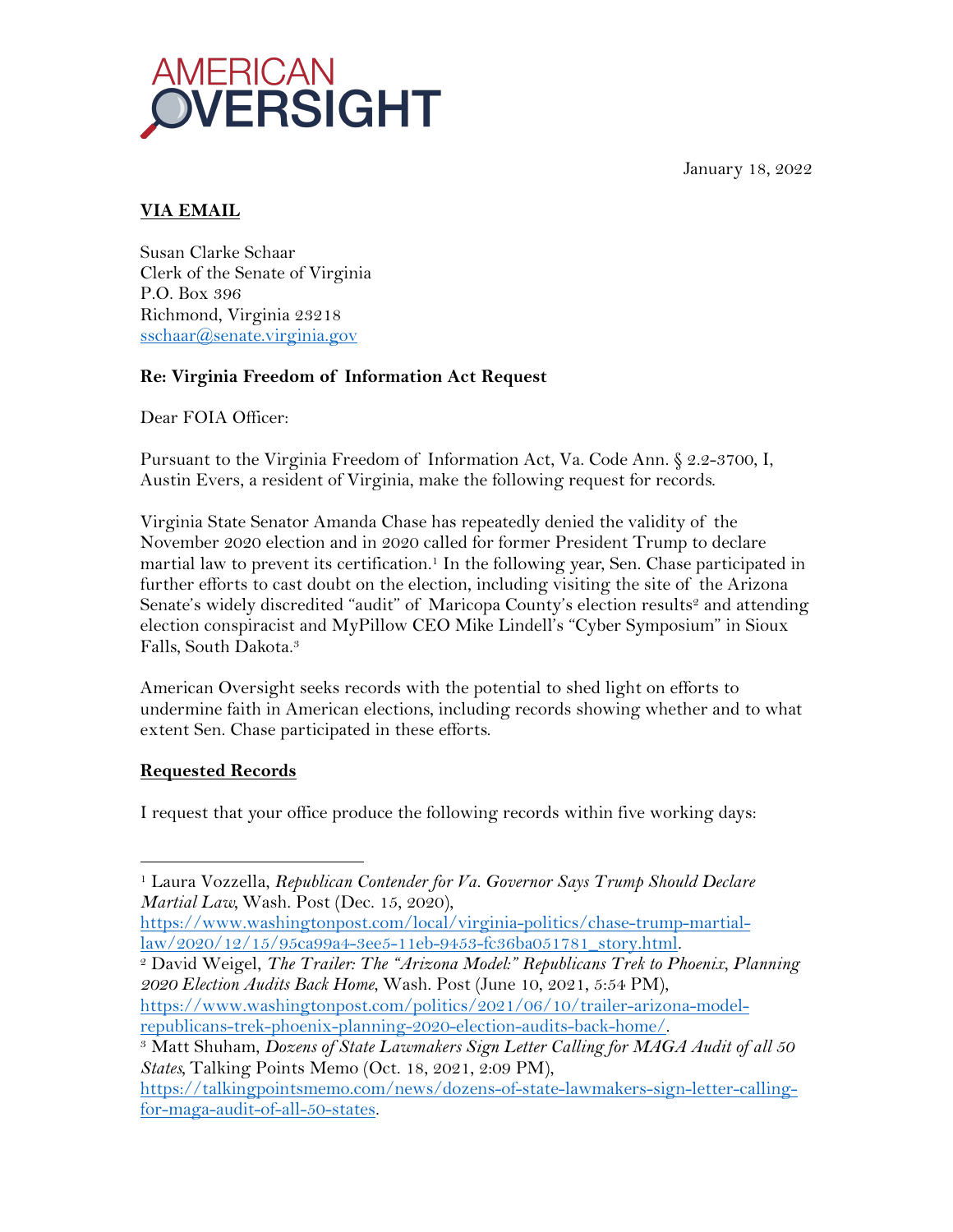January 18, 2022



# **VIA EMAIL**

Susan Clarke Schaar Clerk of the Senate of Virginia P.O. Box 396 Richmond, Virginia 23218 sschaar@senate.virginia.gov

# **Re: Virginia Freedom of Information Act Request**

Dear FOIA Officer:

Pursuant to the Virginia Freedom of Information Act, Va. Code Ann. § 2.2-3700, I, Austin Evers, a resident of Virginia, make the following request for records.

Virginia State Senator Amanda Chase has repeatedly denied the validity of the November 2020 election and in 2020 called for former President Trump to declare martial law to prevent its certification.<sup>1</sup> In the following year, Sen. Chase participated in further efforts to cast doubt on the election, including visiting the site of the Arizona Senate's widely discredited "audit" of Maricopa County's election results<sup>2</sup> and attending election conspiracist and MyPillow CEO Mike Lindell's "Cyber Symposium" in Sioux Falls, South Dakota.3

American Oversight seeks records with the potential to shed light on efforts to undermine faith in American elections, including records showing whether and to what extent Sen. Chase participated in these efforts.

### **Requested Records**

I request that your office produce the following records within five working days:

<sup>2</sup> David Weigel, The Trailer: The "Arizona Model:" Republicans Trek to Phoenix, Planning *2020 Election Audits Back Home*, Wash. Post (June 10, 2021, 5:54 PM), https://www.washingtonpost.com/politics/2021/06/10/trailer-arizona-modelrepublicans-trek-phoenix-planning-2020-election-audits-back-home/.

<sup>1</sup> Laura Vozzella, *Republican Contender for Va. Governor Says Trump Should Declare Martial Law,* Wash. Post (Dec. 15, 2020),

https://www.washingtonpost.com/local/virginia-politics/chase-trump-martial-

<sup>3</sup> Matt Shuham, *Dozens of State Lawmakers Sign Letter Calling for MAGA Audit of all 50 States,* Talking Points Memo (Oct. 18, 2021, 2:09 PM),

https://talkingpointsmemo.com/news/dozens-of-state-lawmakers-sign-letter-callingfor-maga-audit-of-all-50-states.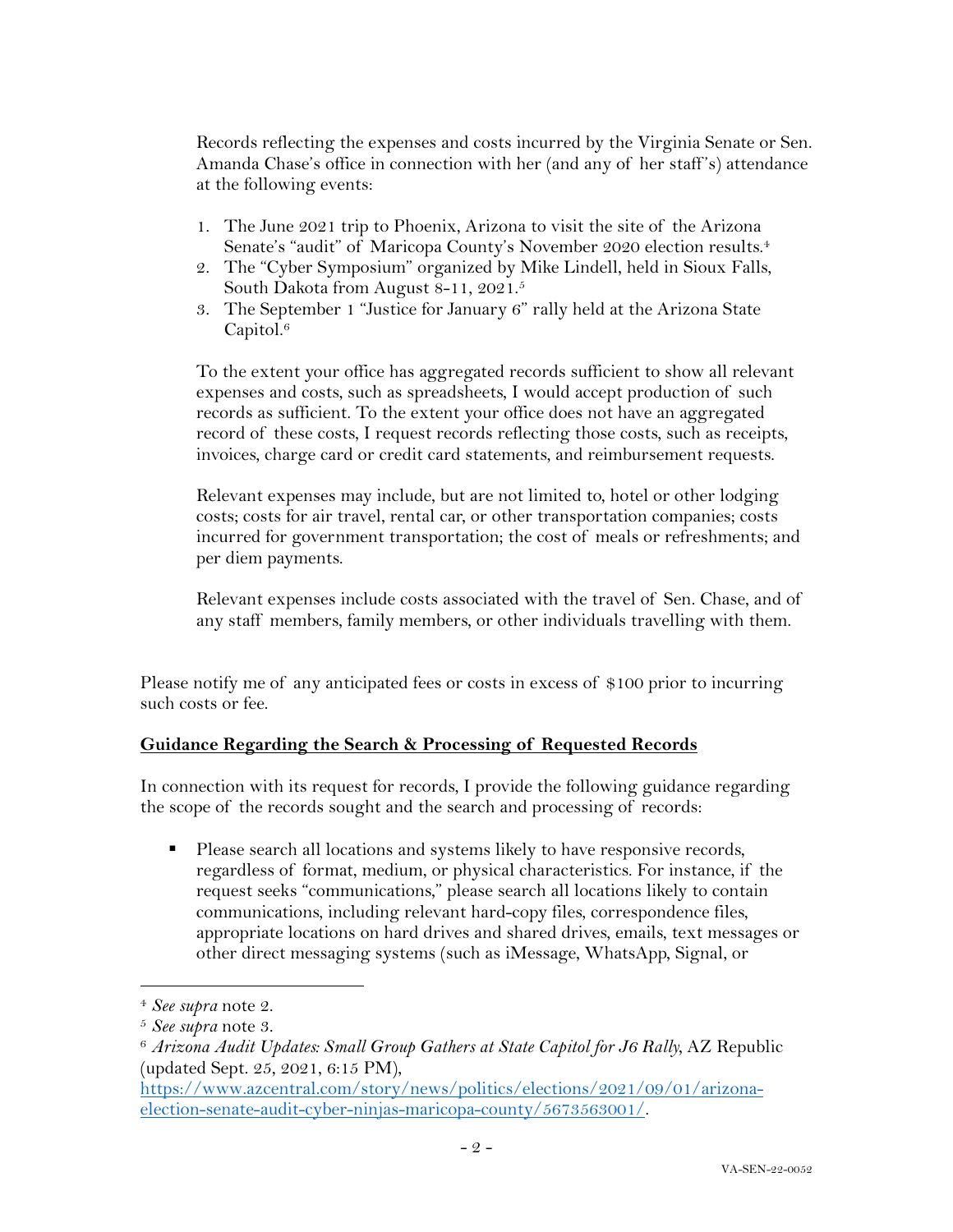Records reflecting the expenses and costs incurred by the Virginia Senate or Sen. Amanda Chase's office in connection with her (and any of her staff 's) attendance at the following events:

- 1. The June 2021 trip to Phoenix, Arizona to visit the site of the Arizona Senate's "audit" of Maricopa County's November 2020 election results.<sup>4</sup>
- 2. The "Cyber Symposium" organized by Mike Lindell, held in Sioux Falls, South Dakota from August 8-11, 2021.5
- 3. The September 1 "Justice for January 6" rally held at the Arizona State Capitol. 6

To the extent your office has aggregated records sufficient to show all relevant expenses and costs, such as spreadsheets, I would accept production of such records as sufficient. To the extent your office does not have an aggregated record of these costs, I request records reflecting those costs, such as receipts, invoices, charge card or credit card statements, and reimbursement requests.

Relevant expenses may include, but are not limited to, hotel or other lodging costs; costs for air travel, rental car, or other transportation companies; costs incurred for government transportation; the cost of meals or refreshments; and per diem payments.

Relevant expenses include costs associated with the travel of Sen. Chase, and of any staff members, family members, or other individuals travelling with them.

Please notify me of any anticipated fees or costs in excess of \$100 prior to incurring such costs or fee.

### **Guidance Regarding the Search & Processing of Requested Records**

In connection with its request for records, I provide the following guidance regarding the scope of the records sought and the search and processing of records:

■ Please search all locations and systems likely to have responsive records, regardless of format, medium, or physical characteristics. For instance, if the request seeks "communications," please search all locations likely to contain communications, including relevant hard-copy files, correspondence files, appropriate locations on hard drives and shared drives, emails, text messages or other direct messaging systems (such as iMessage, WhatsApp, Signal, or

<sup>4</sup> *See supra* note 2.

<sup>5</sup> *See supra* note 3. 6 *Arizona Audit Updates: Small Group Gathers at State Capitol for J6 Rally,* AZ Republic (updated Sept. 25, 2021, 6:15 PM),

https://www.azcentral.com/story/news/politics/elections/2021/09/01/arizonaelection-senate-audit-cyber-ninjas-maricopa-county/5673563001/.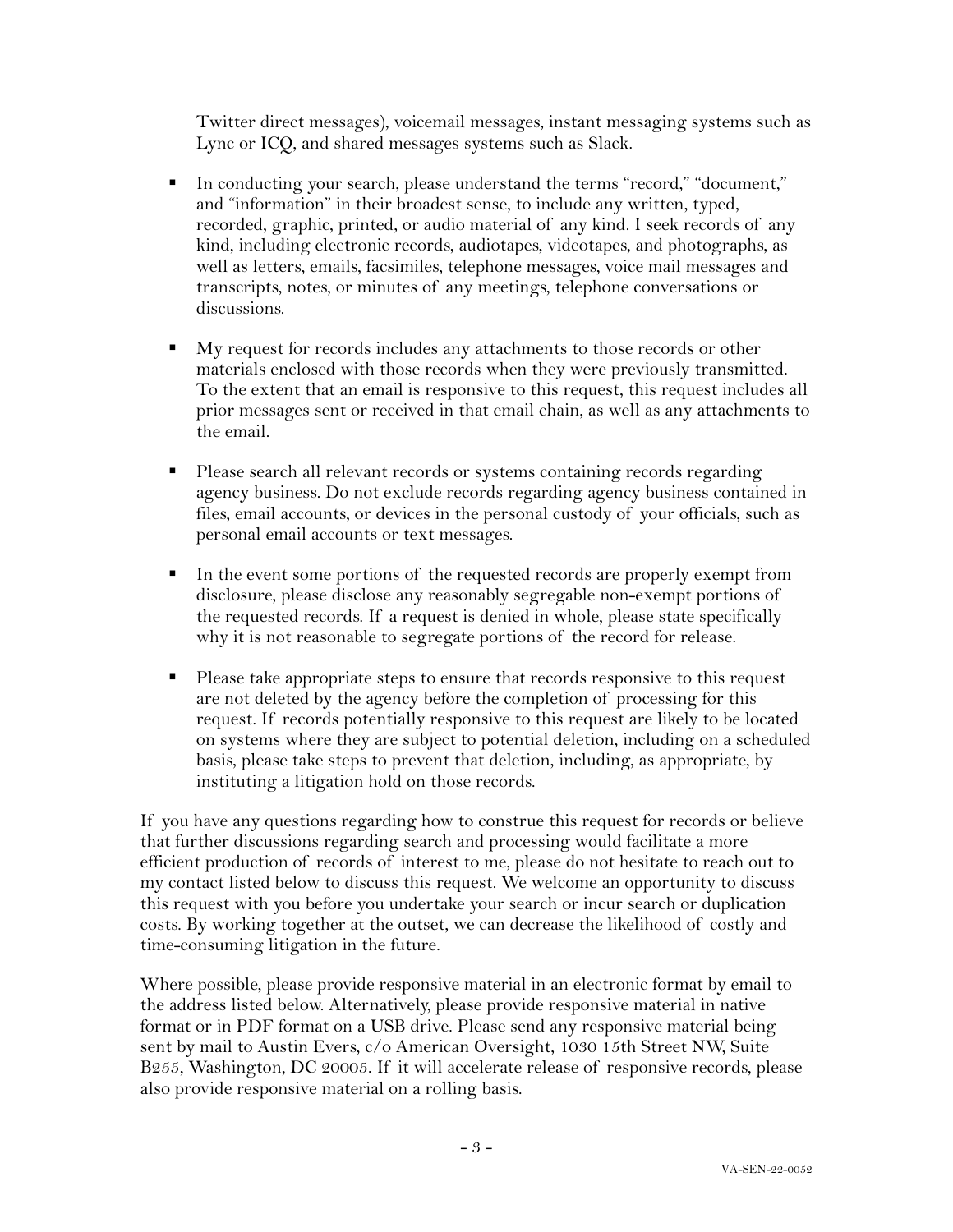Twitter direct messages), voicemail messages, instant messaging systems such as Lync or ICQ, and shared messages systems such as Slack.

- § In conducting your search, please understand the terms "record," "document," and "information" in their broadest sense, to include any written, typed, recorded, graphic, printed, or audio material of any kind. I seek records of any kind, including electronic records, audiotapes, videotapes, and photographs, as well as letters, emails, facsimiles, telephone messages, voice mail messages and transcripts, notes, or minutes of any meetings, telephone conversations or discussions.
- My request for records includes any attachments to those records or other materials enclosed with those records when they were previously transmitted. To the extent that an email is responsive to this request, this request includes all prior messages sent or received in that email chain, as well as any attachments to the email.
- Please search all relevant records or systems containing records regarding agency business. Do not exclude records regarding agency business contained in files, email accounts, or devices in the personal custody of your officials, such as personal email accounts or text messages.
- In the event some portions of the requested records are properly exempt from disclosure, please disclose any reasonably segregable non-exempt portions of the requested records. If a request is denied in whole, please state specifically why it is not reasonable to segregate portions of the record for release.
- Please take appropriate steps to ensure that records responsive to this request are not deleted by the agency before the completion of processing for this request. If records potentially responsive to this request are likely to be located on systems where they are subject to potential deletion, including on a scheduled basis, please take steps to prevent that deletion, including, as appropriate, by instituting a litigation hold on those records.

If you have any questions regarding how to construe this request for records or believe that further discussions regarding search and processing would facilitate a more efficient production of records of interest to me, please do not hesitate to reach out to my contact listed below to discuss this request. We welcome an opportunity to discuss this request with you before you undertake your search or incur search or duplication costs. By working together at the outset, we can decrease the likelihood of costly and time-consuming litigation in the future.

Where possible, please provide responsive material in an electronic format by email to the address listed below. Alternatively, please provide responsive material in native format or in PDF format on a USB drive. Please send any responsive material being sent by mail to Austin Evers, c/o American Oversight, 1030 15th Street NW, Suite B255, Washington, DC 20005. If it will accelerate release of responsive records, please also provide responsive material on a rolling basis.